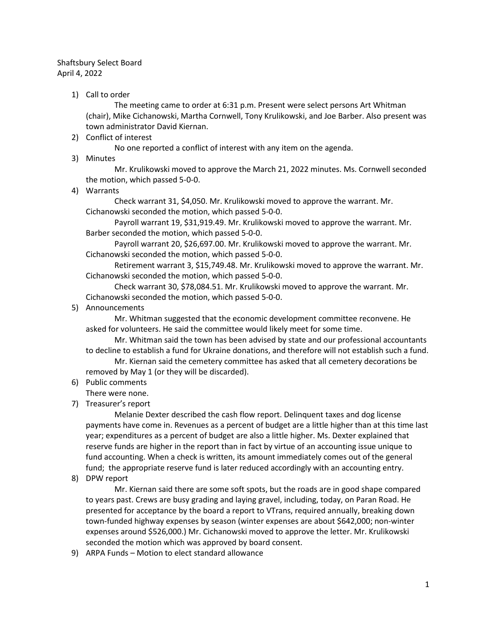## Shaftsbury Select Board April 4, 2022

1) Call to order

The meeting came to order at 6:31 p.m. Present were select persons Art Whitman (chair), Mike Cichanowski, Martha Cornwell, Tony Krulikowski, and Joe Barber. Also present was town administrator David Kiernan.

2) Conflict of interest

No one reported a conflict of interest with any item on the agenda.

3) Minutes

Mr. Krulikowski moved to approve the March 21, 2022 minutes. Ms. Cornwell seconded the motion, which passed 5-0-0.

4) Warrants

Check warrant 31, \$4,050. Mr. Krulikowski moved to approve the warrant. Mr. Cichanowski seconded the motion, which passed 5-0-0.

Payroll warrant 19, \$31,919.49. Mr. Krulikowski moved to approve the warrant. Mr. Barber seconded the motion, which passed 5-0-0.

Payroll warrant 20, \$26,697.00. Mr. Krulikowski moved to approve the warrant. Mr. Cichanowski seconded the motion, which passed 5-0-0.

Retirement warrant 3, \$15,749.48. Mr. Krulikowski moved to approve the warrant. Mr. Cichanowski seconded the motion, which passed 5-0-0.

Check warrant 30, \$78,084.51. Mr. Krulikowski moved to approve the warrant. Mr. Cichanowski seconded the motion, which passed 5-0-0.

5) Announcements

Mr. Whitman suggested that the economic development committee reconvene. He asked for volunteers. He said the committee would likely meet for some time.

Mr. Whitman said the town has been advised by state and our professional accountants to decline to establish a fund for Ukraine donations, and therefore will not establish such a fund.

Mr. Kiernan said the cemetery committee has asked that all cemetery decorations be removed by May 1 (or they will be discarded).

- 6) Public comments
	- There were none.
- 7) Treasurer's report

Melanie Dexter described the cash flow report. Delinquent taxes and dog license payments have come in. Revenues as a percent of budget are a little higher than at this time last year; expenditures as a percent of budget are also a little higher. Ms. Dexter explained that reserve funds are higher in the report than in fact by virtue of an accounting issue unique to fund accounting. When a check is written, its amount immediately comes out of the general fund; the appropriate reserve fund is later reduced accordingly with an accounting entry.

8) DPW report

Mr. Kiernan said there are some soft spots, but the roads are in good shape compared to years past. Crews are busy grading and laying gravel, including, today, on Paran Road. He presented for acceptance by the board a report to VTrans, required annually, breaking down town-funded highway expenses by season (winter expenses are about \$642,000; non-winter expenses around \$526,000.) Mr. Cichanowski moved to approve the letter. Mr. Krulikowski seconded the motion which was approved by board consent.

9) ARPA Funds – Motion to elect standard allowance